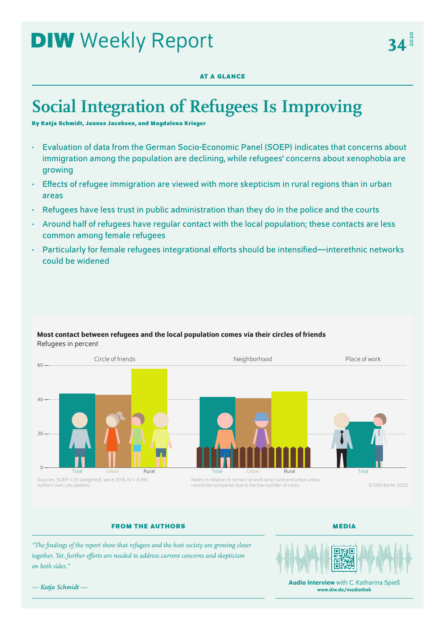# **DIW** Weekly Report

## **AT A GLANCE**

## **Social Integration of Refugees Is Improving**

**By Katja Schmidt, Jannes Jacobsen, and Magdalena Krieger**

- Evaluation of data from the German Socio-Economic Panel (SOEP) indicates that concerns about immigration among the population are declining, while refugees' concerns about xenophobia are growing
- Effects of refugee immigration are viewed with more skepticism in rural regions than in urban areas
- Refugees have less trust in public administration than they do in the police and the courts
- Around half of refugees have regular contact with the local population; these contacts are less common among female refugees
- Particularly for female refugees integrational efforts should be intensified—interethnic networks could be widened



## Most contact between refugees and the local population comes via their circles of friends Refugees in percent

## **FROM THE AUTHORS**

**MEDIA**

*"The findings of the report show that refugees and the host society are growing closer together. Yet, further efforts are needed to address current concerns and skepticism on both sides."*



Audio Interview with C. Katharina Spieß [www.diw.de/mediathek](http://www.diw.de/mediathek)

*— Katja Schmidt —*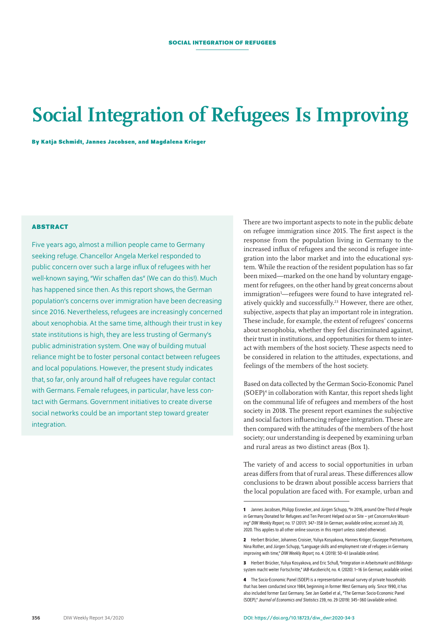## **Social Integration of Refugees Is Improving**

**By Katja Schmidt, Jannes Jacobsen, and Magdalena Krieger**

## **ABSTRACT**

Five years ago, almost a million people came to Germany seeking refuge. Chancellor Angela Merkel responded to public concern over such a large influx of refugees with her well-known saying, "Wir schaffen das" (We can do this!). Much has happened since then. As this report shows, the German population's concerns over immigration have been decreasing since 2016. Nevertheless, refugees are increasingly concerned about xenophobia. At the same time, although their trust in key state institutions is high, they are less trusting of Germany's public administration system. One way of building mutual reliance might be to foster personal contact between refugees and local populations. However, the present study indicates that, so far, only around half of refugees have regular contact with Germans. Female refugees, in particular, have less contact with Germans. Government initiatives to create diverse social networks could be an important step toward greater integration.

There are two important aspects to note in the public debate on refugee immigration since 2015. The first aspect is the response from the population living in Germany to the increased influx of refugees and the second is refugee integration into the labor market and into the educational system. While the reaction of the resident population has so far been mixed—marked on the one hand by voluntary engagement for refugees, on the other hand by great concerns about immigration<sup>1</sup>—refugees were found to have integrated relatively quickly and successfully.23 However, there are other, subjective, aspects that play an important role in integration. These include, for example, the extent of refugees' concerns about xenophobia, whether they feel discriminated against, their trust in institutions, and opportunities for them to interact with members of the host society. These aspects need to be considered in relation to the attitudes, expectations, and feelings of the members of the host society.

Based on data collected by the German Socio-Economic Panel (SOEP)4 in collaboration with Kantar, this report sheds light on the communal life of refugees and members of the host society in 2018. The present report examines the subjective and social factors influencing refugee integration. These are then compared with the attitudes of the members of the host society; our understanding is deepened by examining urban and rural areas as two distinct areas (Box 1).

The variety of and access to social opportunities in urban areas differs from that of rural areas. These differences allow conclusions to be drawn about possible access barriers that the local population are faced with. For example, urban and

**<sup>1</sup>** Jannes Jacobsen, Philipp Eisnecker, and Jürgen Schupp, "In 2016, around One-Third of People in Germany Donated for Refugees and Ten Percent Helped out on Site – yet ConcernsAre Mounting" *DIW Weekly Report,* no. 17 (2017): 347–358 (in German; [available online;](https://www.diw.de/documents/publikationen/73/diw_01.c.556677.de/17-17.pdf) accessed July20, 2020. This applies to all other online sources in this report unless stated otherwise).

**<sup>2</sup>** Herbert Brücker, Johannes Croisier, Yuliya Kosyakova, Hannes Kröger, Giuseppe Pietrantuono, Nina Rother, and Jürgen Schupp, "Language skills and employment rate of refugees in Germany improving with time," *DIW Weekly Report,* no. 4. (2019): 50–61 ([available online\)](https://www.diw.de/documents/publikationen/73/diw_01.c.612334.de/dwr-19-04.pdf).

**<sup>3</sup>** Herbert Brücker, Yuliya Kosyakova, and Eric Schuß, "Integration in Arbeitsmarkt und Bildungssystem macht weiter Fortschritte," *IAB-Kurzbericht,* no. 4. (2020): 1–16 (in German; [available online\)](http://doku.iab.de/kurzber/2020/kb0420.pdf).

**<sup>4</sup>** The Socio-Economic Panel (SOEP) is a representative annual survey of private households that has been conducted since 1984, beginning in former West Germany only. Since 1990, it has also included former East Germany. See Jan Goebel etal., "The German Socio-Economic Panel (SOEP)," *Journal of Economics and Statistics* 239, no.29 (2019): 345–360 [\(available online](https://doi.org/10.1515/jbnst-2018-0022)).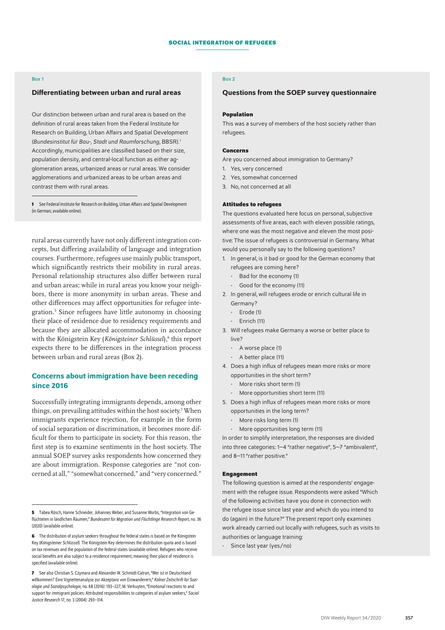#### Box 1

#### Differentiating between urban and rural areas

Our distinction between urban and rural area is based on the definition of rural areas taken from the Federal Institute for Research on Building, Urban Affairs and Spatial Development (*Bundesinstitut für Bau-, Stadt und Raumforschung*, BBSR).1 Accordingly, municipalities are classified based on their size, population density, and central-local function as either agglomeration areas, urbanized areas or rural areas. We consider agglomerations and urbanized areas to be urban areas and contrast them with rural areas.

**1** See Federal Institute for Research on Building, Urban Affairs and Spatial Development (in German; [available online\)](https://www.bbsr.bund.de/BBSR/DE/forschung/raumbeobachtung/Raumabgrenzungen/SiedlungsstrukturelleGebietstypen/Kreistypen/kreistypen.html?nn=443048).

rural areas currently have not only different integration concepts, but differing availability of language and integration courses. Furthermore, refugees use mainly public transport, which significantly restricts their mobility in rural areas. Personal relationship structures also differ between rural and urban areas; while in rural areas you know your neighbors, there is more anonymity in urban areas. These and other differences may affect opportunities for refugee integration.5 Since refugees have little autonomy in choosing their place of residence due to residency requirements and because they are allocated accommodation in accordance with the Königstein Key (Königsteiner Schlüssel),<sup>6</sup> this report expects there to be differences in the integration process between urban and rural areas (Box 2).

## Concerns about immigration have been receding since 2016

Successfully integrating immigrants depends, among other things, on prevailing attitudes within the host society.7 When immigrants experience rejection, for example in the form of social separation or discrimination, it becomes more difficult for them to participate in society. For this reason, the first step is to examine sentiments in the host society. The annual SOEP survey asks respondents how concerned they are about immigration. Response categories are "not concerned at all," "somewhat concerned," and "very concerned."

## Box 2

#### Questions from the SOEP survey questionnaire

#### **Population**

This was a survey of members of the host society rather than refugees.

#### **Concerns**

Are you concerned about immigration to Germany?

- 1. Yes, very concerned
- 2. Yes, somewhat concerned
- 3. No, not concerned at all

#### **Attitudes to refugees**

The questions evaluated here focus on personal, subjective assessments of five areas, each with eleven possible ratings, where one was the most negative and eleven the most positive: The issue of refugees is controversial in Germany. What would you personally say to the following questions?

- 1. In general, is it bad or good for the German economy that refugees are coming here?
	- Bad for the economy (1)
	- Good for the economy (11)
- 2. In general, will refugees erode or enrich cultural life in Germany?
	- Erode (1)
	- Enrich (11)
- 3. Will refugees make Germany a worse or better place to live?
	- A worse place (1)
	- A better place (11)
- 4. Does a high influx of refugees mean more risks or more opportunities in the short term?
	- More risks short term (1)
	- More opportunities short term (11)
- 5. Does a high influx of refugees mean more risks or more opportunities in the long term?
	- More risks long term (1)
	- More opportunities long term (11)

In order to simplify interpretation, the responses are divided into three categories: 1–4 "rather negative", 5–7 "ambivalent", and 8–11 "rather positive."

#### **Engagement**

The following question is aimed at the respondents' engagement with the refugee issue. Respondents were asked "Which of the following activities have you done in connection with the refugee issue since last year and which do you intend to do (again) in the future?" The present report only examines work already carried out locally with refugees, such as visits to authorities or language training:

• Since last year (yes/no)

**<sup>5</sup>** Tabea Rösch, Hanne Schneider, Johannes Weber, and Susanne Worbs, "Integration von Geflüchteten in ländlichen Räumen," *Bundesamt für Migration und Flüchtlinge Research Report,* no.36 (2020) ([available online](https://www.bamf.de/SharedDocs/Anlagen/DE/Forschung/Forschungsberichte/fb36-integration-laendlicher-raum.pdf?__blob=publicationFile&v=5)).

**<sup>6</sup>** The distribution of asylum seekers throughout the federal states is based on the Königstein Key (*Königsteiner Schlüssel*). The Königstein Key determines the distribution quota and is based on tax revenues and the population of the federal states ([available online\)](https://www.bamf.de/DE/Themen/AsylFluechtlingsschutz/AblaufAsylverfahrens/Erstverteilung/erstverteilung-node.html). Refugees who receive social benefits are also subject to a residence requirement, meaning their place of residence is specified ([available online](https://www.bamf.de/DE/Themen/AsylFluechtlingsschutz/AblaufAsylverfahrens/Erstverteilung/erstverteilung-node.html)).

**<sup>7</sup>** See also Christian S. Czymara and Alexander W. Schmidt-Catran, "Wer ist in Deutschland willkommen? Eine Vignettenanalyse zur Akzeptanz von Einwanderern," *Kölner Zeitschrift für Soziologie und Sozialpsychologie,* no. 68 (2016): 193–227; M. Verkuyten, "Emotional reactions to and support for immigrant policies: Attributed responsibilities to categories of asylum seekers," *Social Justice Research* 17, no.3 (2004): 293–314.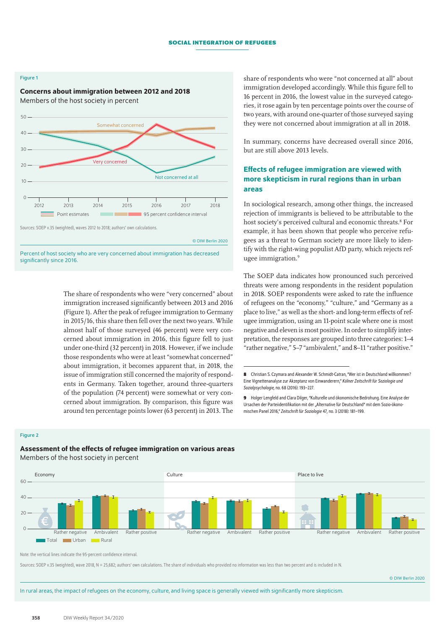#### Figure 1

## Concerns about immigration between 2012 and 2018 Members of the host society in percent



© DIW Berlin 2020

Percent of host society who are very concerned about immigration has decreased significantly since 2016.

> The share of respondents who were "very concerned" about immigration increased significantly between 2013 and 2016 (Figure 1). After the peak of refugee immigration to Germany in 2015/16, this share then fell over the next two years. While almost half of those surveyed (46 percent) were very concerned about immigration in 2016, this figure fell to just under one-third (32 percent) in 2018. However, if we include those respondents who were at least "somewhat concerned" about immigration, it becomes apparent that, in 2018, the issue of immigration still concerned the majority of respondents in Germany. Taken together, around three-quarters of the population (74 percent) were somewhat or very concerned about immigration. By comparison, this figure was around ten percentage points lower (63 percent) in 2013. The

share of respondents who were "not concerned at all" about immigration developed accordingly. While this figure fell to 16 percent in 2016, the lowest value in the surveyed categories, it rose again by ten percentage points over the course of two years, with around one-quarter of those surveyed saying they were not concerned about immigration at all in 2018.

In summary, concerns have decreased overall since 2016, but are still above 2013 levels.

## Effects of refugee immigration are viewed with more skepticism in rural regions than in urban areas

In sociological research, among other things, the increased rejection of immigrants is believed to be attributable to the host society's perceived cultural and economic threats.<sup>8</sup> For example, it has been shown that people who perceive refugees as a threat to German society are more likely to identify with the right-wing populist AfD party, which rejects refugee immigration.<sup>9</sup>

The SOEP data indicates how pronounced such perceived threats were among respondents in the resident population in 2018. SOEP respondents were asked to rate the influence of refugees on the "economy," "culture," and "Germany as a place to live," as well as the short- and long-term effects of refugee immigration, using an 11-point scale where one is most negative and eleven is most positive. In order to simplify interpretation, the responses are grouped into three categories: 1–4 "rather negative," 5–7 "ambivalent," and 8–11 "rather positive."

**9** Holger Lengfeld and Clara Dilger, "Kulturelle und ökonomische Bedrohung. Eine Analyse der Ursachen der Parteiidentifikation mit der "Alternative für Deutschland" mit dem Sozio-ökonomischen Panel 2016," *Zeitschrift für Soziologie* 47*,* no.3 (2018): 181–199.

#### Figure 2

## Assessment of the effects of refugee immigration on various areas

Members of the host society in percent



Note: the vertical lines indicate the 95-percent confidence interval.

Sources: SOEP v.35 (weighted), wave 2018, N = 25,682; authors' own calculations. The share of individuals who provided no information was less than two percent and is included in N.

© DIW Berlin 2020

In rural areas, the impact of refugees on the economy, culture, and living space is generally viewed with significantly more skepticism.

**<sup>8</sup>** Christian S. Czymara and Alexander W. Schmidt-Catran, "Wer ist in Deutschland willkommen? Eine Vignettenanalyse zur Akzeptanz von Einwanderern," *Kölner Zeitschrift für Soziologie und Sozialpsychologie,* no. 68 (2016): 193–227.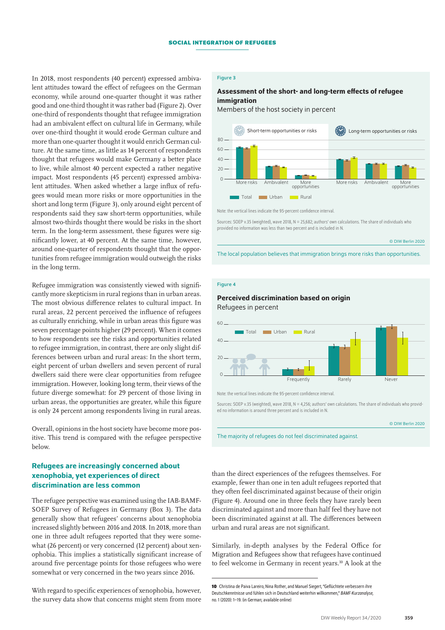In 2018, most respondents (40 percent) expressed ambivalent attitudes toward the effect of refugees on the German economy, while around one-quarter thought it was rather good and one-third thought it was rather bad (Figure 2). Over one-third of respondents thought that refugee immigration had an ambivalent effect on cultural life in Germany, while over one-third thought it would erode German culture and more than one-quarter thought it would enrich German culture. At the same time, as little as 14 percent of respondents thought that refugees would make Germany a better place to live, while almost 40 percent expected a rather negative impact. Most respondents (45 percent) expressed ambivalent attitudes. When asked whether a large influx of refugees would mean more risks or more opportunities in the short and long term (Figure 3), only around eight percent of respondents said they saw short-term opportunities, while almost two-thirds thought there would be risks in the short term. In the long-term assessment, these figures were significantly lower, at 40 percent. At the same time, however, around one-quarter of respondents thought that the opportunities from refugee immigration would outweigh the risks in the long term.

Refugee immigration was consistently viewed with significantly more skepticism in rural regions than in urban areas. The most obvious difference relates to cultural impact. In rural areas, 22 percent perceived the influence of refugees as culturally enriching, while in urban areas this figure was seven percentage points higher (29 percent). When it comes to how respondents see the risks and opportunities related to refugee immigration, in contrast, there are only slight differences between urban and rural areas: In the short term, eight percent of urban dwellers and seven percent of rural dwellers said there were clear opportunities from refugee immigration. However, looking long term, their views of the future diverge somewhat: for 29 percent of those living in urban areas, the opportunities are greater, while this figure is only 24 percent among respondents living in rural areas.

Overall, opinions in the host society have become more positive. This trend is compared with the refugee perspective below.

## Refugees are increasingly concerned about xenophobia, yet experiences of direct discrimination are less common

The refugee perspective was examined using the IAB-BAMF-SOEP Survey of Refugees in Germany (Box 3). The data generally show that refugees' concerns about xenophobia increased slightly between 2016 and 2018. In 2018, more than one in three adult refugees reported that they were somewhat (26 percent) or very concerned (12 percent) about xenophobia. This implies a statistically significant increase of around five percentage points for those refugees who were somewhat or very concerned in the two years since 2016.

With regard to specific experiences of xenophobia, however, the survey data show that concerns might stem from more

## Figure 3

## Assessment of the short- and long-term effects of refugee immigration

Members of the host society in percent



Note: the vertical lines indicate the 95-percent confidence interval.

Sources: SOEP v.35 (weighted), wave 2018, N = 25,682; authors' own calculations. The share of individuals who provided no information was less than two percent and is included in N.

© DIW Berlin 2020

The local population believes that immigration brings more risks than opportunities.

### Figure 4

## Perceived discrimination based on origin Refugees in percent



Note: the vertical lines indicate the 95-percent confidence interval.

Sources: SOEP v.35 (weighted), wave 2018, N = 4,256; authors' own calculations. The share of individuals who provided no information is around three percent and is included in N.

|  | © DIW Berlin 2020 |  |  |  |
|--|-------------------|--|--|--|
|  |                   |  |  |  |

The majority of refugees do not feel discriminated against.

than the direct experiences of the refugees themselves. For example, fewer than one in ten adult refugees reported that they often feel discriminated against because of their origin (Figure 4). Around one in three feels they have rarely been discriminated against and more than half feel they have not been discriminated against at all. The differences between urban and rural areas are not significant.

Similarly, in-depth analyses by the Federal Office for Migration and Refugees show that refugees have continued to feel welcome in Germany in recent years.10 A look at the

**<sup>10</sup>** Christina de Paiva Lareiro, Nina Rother, and Manuel Siegert, "Geflüchtete verbessern ihre Deutschkenntnisse und fühlen sich in Deutschland weiterhin willkommen," *BAMF-Kurzanalyse,*  no. 1 (2020): 1–19. (in German; [available online\)](https://www.bamf.de/SharedDocs/Anlagen/DE/Forschung/Kurzanalysen/kurzanalyse1-2020_iab-bamf-soep-befragung-sprache.pdf?__blob=publicationFile&v=6)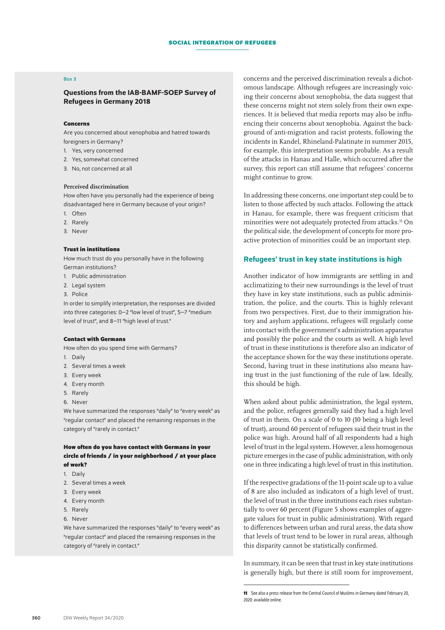#### Box 3

## Questions from the IAB-BAMF-SOEP Survey of Refugees in Germany 2018

#### **Concerns**

Are you concerned about xenophobia and hatred towards foreigners in Germany?

- 1. Yes, very concerned
- 2. Yes, somewhat concerned
- 3. No, not concerned at all

#### **Perceived discrimination**

How often have you personally had the experience of being disadvantaged here in Germany because of your origin?

- 1. Often
- 2. Rarely
- 3. Never

#### **Trust in institutions**

How much trust do you personally have in the following German institutions?

- 1. Public administration
- 2. Legal system
- 3. Police

In order to simplify interpretation, the responses are divided into three categories: 0–2 "low level of trust", 5–7 "medium level of trust", and 8–11 "high level of trust."

#### **Contact with Germans**

How often do you spend time with Germans?

- 1. Daily
- 2. Several times a week
- 3. Every week
- 4. Every month
- 5. Rarely
- 6. Never

We have summarized the responses "daily" to "every week" as "regular contact" and placed the remaining responses in the category of "rarely in contact."

### **How often do you have contact with Germans in your circle of friends / in your neighborhood / at your place of work?**

- 1. Daily
- 2. Several times a week
- 3. Every week
- 4. Every month
- 5. Rarely
- 6. Never

We have summarized the responses "daily" to "every week" as "regular contact" and placed the remaining responses in the category of "rarely in contact."

concerns and the perceived discrimination reveals a dichotomous landscape. Although refugees are increasingly voicing their concerns about xenophobia, the data suggest that these concerns might not stem solely from their own experiences. It is believed that media reports may also be influencing their concerns about xenophobia. Against the background of anti-migration and racist protests, following the incidents in Kandel, Rhineland-Palatinate in summer 2015, for example, this interpretation seems probable. As a result of the attacks in Hanau and Halle, which occurred after the survey, this report can still assume that refugees' concerns might continue to grow.

In addressing these concerns, one important step could be to listen to those affected by such attacks. Following the attack in Hanau, for example, there was frequent criticism that minorities were not adequately protected from attacks.<sup>11</sup> On the political side, the development of concepts for more proactive protection of minorities could be an important step.

## Refugees' trust in key state institutions is high

Another indicator of how immigrants are settling in and acclimatizing to their new surroundings is the level of trust they have in key state institutions, such as public administration, the police, and the courts. This is highly relevant from two perspectives. First, due to their immigration history and asylum applications, refugees will regularly come into contact with the government's administration apparatus and possibly the police and the courts as well. A high level of trust in these institutions is therefore also an indicator of the acceptance shown for the way these institutions operate. Second, having trust in these institutions also means having trust in the just functioning of the rule of law. Ideally, this should be high.

When asked about public administration, the legal system, and the police, refugees generally said they had a high level of trust in them. On a scale of 0 to 10 (10 being a high level of trust), around 60 percent of refugees said their trust in the police was high. Around half of all respondents had a high level of trust in the legal system. However, a less homogenous picture emerges in the case of public administration, with only one in three indicating a high level of trust in this institution.

If the respective gradations of the 11-point scale up to a value of 8 are also included as indicators of a high level of trust, the level of trust in the three institutions each rises substantially to over 60 percent (Figure 5 shows examples of aggregate values for trust in public administration). With regard to differences between urban and rural areas, the data show that levels of trust tend to be lower in rural areas, although this disparity cannot be statistically confirmed.

In summary, it can be seen that trust in key state institutions is generally high, but there is still room for improvement,

**<sup>11</sup>** See also a press release from the Central Council of Muslims in Germany dated February 20, 2020: [available online.](http://www.zentralrat.de/32001.php)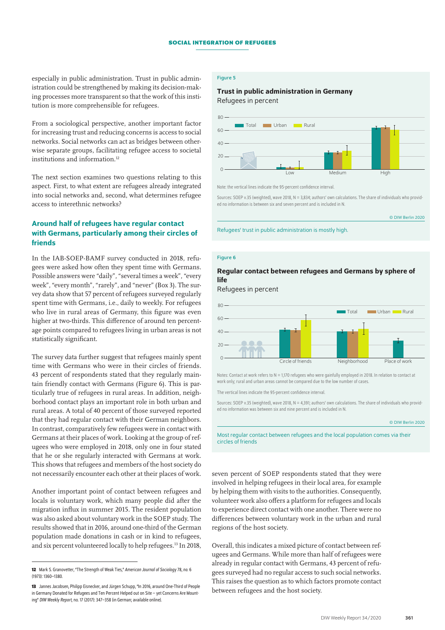especially in public administration. Trust in public administration could be strengthened by making its decision-making processes more transparent so that the work of this institution is more comprehensible for refugees.

From a sociological perspective, another important factor for increasing trust and reducing concerns is access to social networks. Social networks can act as bridges between otherwise separate groups, facilitating refugee access to societal institutions and information.12

The next section examines two questions relating to this aspect. First, to what extent are refugees already integrated into social networks and, second, what determines refugee access to interethnic networks?

## Around half of refugees have regular contact with Germans, particularly among their circles of friends

In the IAB-SOEP-BAMF survey conducted in 2018, refugees were asked how often they spent time with Germans. Possible answers were "daily", "several times a week", "every week", "every month", "rarely", and "never" (Box 3). The survey data show that 57 percent of refugees surveyed regularly spent time with Germans, i.e., daily to weekly. For refugees who live in rural areas of Germany, this figure was even higher at two-thirds. This difference of around ten percentage points compared to refugees living in urban areas is not statistically significant.

The survey data further suggest that refugees mainly spent time with Germans who were in their circles of friends. 43 percent of respondents stated that they regularly maintain friendly contact with Germans (Figure 6). This is particularly true of refugees in rural areas. In addition, neighborhood contact plays an important role in both urban and rural areas. A total of 40 percent of those surveyed reported that they had regular contact with their German neighbors. In contrast, comparatively few refugees were in contact with Germans at their places of work. Looking at the group of refugees who were employed in 2018, only one in four stated that he or she regularly interacted with Germans at work. This shows that refugees and members of the host society do not necessarily encounter each other at their places of work.

Another important point of contact between refugees and locals is voluntary work, which many people did after the migration influx in summer 2015. The resident population was also asked about voluntary work in the SOEP study. The results showed that in 2016, around one-third of the German population made donations in cash or in kind to refugees, and six percent volunteered locally to help refugees.13 In 2018,

#### Figure 5

## Trust in public administration in Germany Refugees in percent



Note: the vertical lines indicate the 95-percent confidence interval.

Sources: SOEP v.35 (weighted), wave 2018, N = 3,834; authors' own calculations. The share of individuals who provided no information is between six and seven percent and is included in N.

© DIW Berlin 2020

Refugees' trust in public administration is mostly high.

#### Figure 6

## Regular contact between refugees and Germans by sphere of life

Refugees in percent



Notes: Contact at work refers to N = 1,170 refugees who were gainfully employed in 2018. In relation to contact at work only; rural and urban areas cannot be compared due to the low number of cases.

The vertical lines indicate the 95-percent confidence interval.

Sources: SOEP v.35 (weighted), wave 2018, N = 4,391; authors' own calculations. The share of individuals who provided no information was between six and nine percent and is included in N.

#### © DIW Berlin 2020

Most regular contact between refugees and the local population comes via their circles of friends

seven percent of SOEP respondents stated that they were involved in helping refugees in their local area, for example by helping them with visits to the authorities. Consequently, volunteer work also offers a platform for refugees and locals to experience direct contact with one another. There were no differences between voluntary work in the urban and rural regions of the host society.

Overall, this indicates a mixed picture of contact between refugees and Germans. While more than half of refugees were already in regular contact with Germans, 43 percent of refugees surveyed had no regular access to such social networks. This raises the question as to which factors promote contact between refugees and the host society.

**<sup>12</sup>** Mark S. Granovetter, "The Strength of Weak Ties," *American Journal of Sociology* 78, *no.* 6 (1973): 1360–1380.

**<sup>13</sup>** Jannes Jacobsen, Philipp Eisnecker, and Jürgen Schupp, "In 2016, around One-Third of People in Germany Donated for Refugees and Ten Percent Helped out on Site – yet Concerns Are Mounting" *DIW Weekly Report,* no. 17 (2017): 347–358 (in German; [available online](https://www.diw.de/documents/publikationen/73/diw_01.c.556677.de/17-17.pdf)).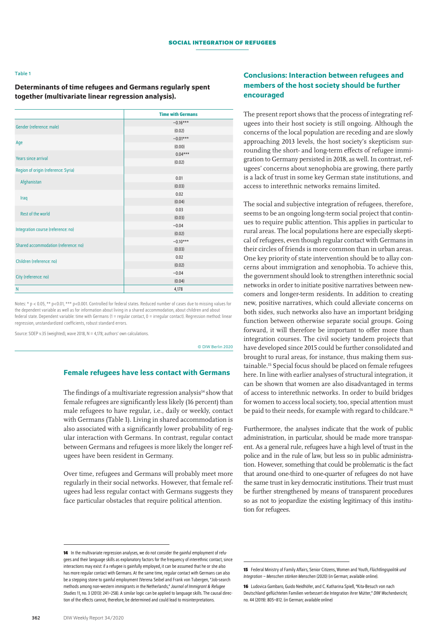#### Table 1

Determinants of time refugees and Germans regularly spent together (multivariate linear regression analysis).

|                                      | <b>Time with Germans</b> |
|--------------------------------------|--------------------------|
| Gender (reference: male)             | $-0.16***$               |
|                                      | (0.02)                   |
|                                      | $-0.01***$               |
| Age                                  | (0.00)                   |
| <b>Years since arrival</b>           | $0.04***$                |
|                                      | (0.02)                   |
| Region of origin (reference: Syria)  |                          |
| Afghanistan                          | 0.01                     |
|                                      | (0.03)                   |
| Iraq                                 | 0.02                     |
|                                      | (0.04)                   |
| <b>Rest of the world</b>             | 0.03                     |
|                                      | (0.03)                   |
| Integration course (reference: no)   | $-0.04$                  |
|                                      | (0.02)                   |
| Shared accommodation (reference: no) | $-0.10***$               |
|                                      | (0.03)                   |
| Children (reference: no)             | 0.02                     |
|                                      | (0.02)                   |
| City (reference: no)                 | $-0.04$                  |
|                                      | (0.04)                   |
| N                                    | 4,178                    |

Notes: \* p < 0.05, \*\* p<0.01, \*\*\* p<0.001. Controlled for federal states. Reduced number of cases due to missing values for the dependent variable as well as for information about living in a shared accommodation, about children and about federal state. Dependent variable: time with Germans (1 = regular contact, 0 = irregular contact). Regression method: linear regression, unstandardized coefficients, robust standard errors.

Source: SOEP v.35 (weighted), wave 2018, N = 4,178; authors' own calculations.

#### © DIW Berlin 2020

## Female refugees have less contact with Germans

The findings of a multivariate regression analysis $14$  show that female refugees are significantly less likely (16 percent) than male refugees to have regular, i.e., daily or weekly, contact with Germans (Table 1). Living in shared accommodation is also associated with a significantly lower probability of regular interaction with Germans. In contrast, regular contact between Germans and refugees is more likely the longer refugees have been resident in Germany.

Over time, refugees and Germans will probably meet more regularly in their social networks. However, that female refugees had less regular contact with Germans suggests they face particular obstacles that require political attention.

## Conclusions: Interaction between refugees and members of the host society should be further encouraged

The present report shows that the process of integrating refugees into their host society is still ongoing. Although the concerns of the local population are receding and are slowly approaching 2013 levels, the host society's skepticism surrounding the short- and long-term effects of refugee immigration to Germany persisted in 2018, as well. In contrast, refugees' concerns about xenophobia are growing, there partly is a lack of trust in some key German state institutions, and access to interethnic networks remains limited.

The social and subjective integration of refugees, therefore, seems to be an ongoing long-term social project that continues to require public attention. This applies in particular to rural areas. The local populations here are especially skeptical of refugees, even though regular contact with Germans in their circles of friends is more common than in urban areas. One key priority of state intervention should be to allay concerns about immigration and xenophobia. To achieve this, the government should look to strengthen interethnic social networks in order to initiate positive narratives between newcomers and longer-term residents. In addition to creating new, positive narratives, which could alleviate concerns on both sides, such networks also have an important bridging function between otherwise separate social groups. Going forward, it will therefore be important to offer more than integration courses. The civil society tandem projects that have developed since 2015 could be further consolidated and brought to rural areas, for instance, thus making them sustainable.15 Special focus should be placed on female refugees here. In line with earlier analyses of structural integration, it can be shown that women are also disadvantaged in terms of access to interethnic networks. In order to build bridges for women to access local society, too, special attention must be paid to their needs, for example with regard to childcare.<sup>16</sup>

Furthermore, the analyses indicate that the work of public administration, in particular, should be made more transparent. As a general rule, refugees have a high level of trust in the police and in the rule of law, but less so in public administration. However, something that could be problematic is the fact that around one-third to one-quarter of refugees do not have the same trust in key democratic institutions. Their trust must be further strengthened by means of transparent procedures so as not to jeopardize the existing legitimacy of this institution for refugees.

**<sup>14</sup>** In the multivariate regression analyses, we do not consider the gainful employment of refugees and their language skills as explanatory factors for the frequency of interethnic contact, since interactions may exist: if a refugee is gainfully employed, it can be assumed that he or she also has more regular contact with Germans. At the same time, regular contact with Germans can also be a stepping stone to gainful employment (Verena Seibel and Frank von Tubergen, "Job-search methods among non-western immigrants in the Netherlands," *Journal of Immigrant & Refugee Studies* 11, no.3 (2013): 241–258). A similar logic can be applied to language skills. The causal direction of the effects cannot, therefore, be determined and could lead to misinterpretations.

**<sup>15</sup>** Federal Ministry of Family Affairs, Senior Citizens, Women and Youth, *Flüchtlingspolitik und Integration – Menschen stärken Menschen* (2020) (in German; [available online\)](https://www.bmfsfj.de/bmfsfj/themen/engagement-und-gesellschaft/engagement-staerken/menschen-staerken-menschen/menschen-staerken-menschen/107820).

**<sup>16</sup>** Ludovica Gambaro, Guido Neidhöfer, and C. Katharina Spieß, "Kita-Besuch von nach Deutschland geflüchteten Familien verbessert die Integration ihrer Mütter," *DIW Wochenbericht,*  no. 44 (2019): 805–812. (in German; [available online\)](https://www.diw.de/de/diw_01.c.694645.de/publikationen/wochenberichte/2019_44_1/kita-besuch_von_kindern_aus_nach_deutschland_gefluechte-ten_familien_verbessert_integration_ihrer_muetter.html)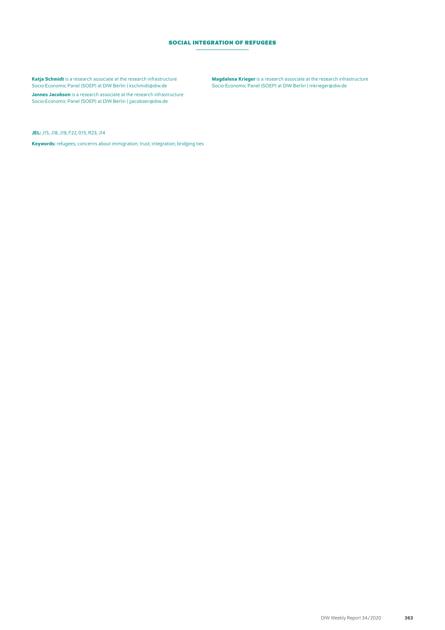## **Social Integration of Refugees**

Katja Schmidt is a research associate at the research infrastructure Socio-Economic Panel (SOEP) at DIW Berlin | kschmidt@diw.de

Jannes Jacobsen is a research associate at the research infrastructure Socio-Economic Panel (SOEP) at DIW Berlin | [jjacobsen@diw.de](mailto:jjacobsen@diw.de)

Magdalena Krieger is a research associate at the research infrastructure Socio-Economic Panel (SOEP) at DIW Berlin | mkrieger@diw.de

JEL: J15, J18, J19, F22, 015, R23, J14

Keywords: refugees; concerns about immigration; trust; integration; bridging ties